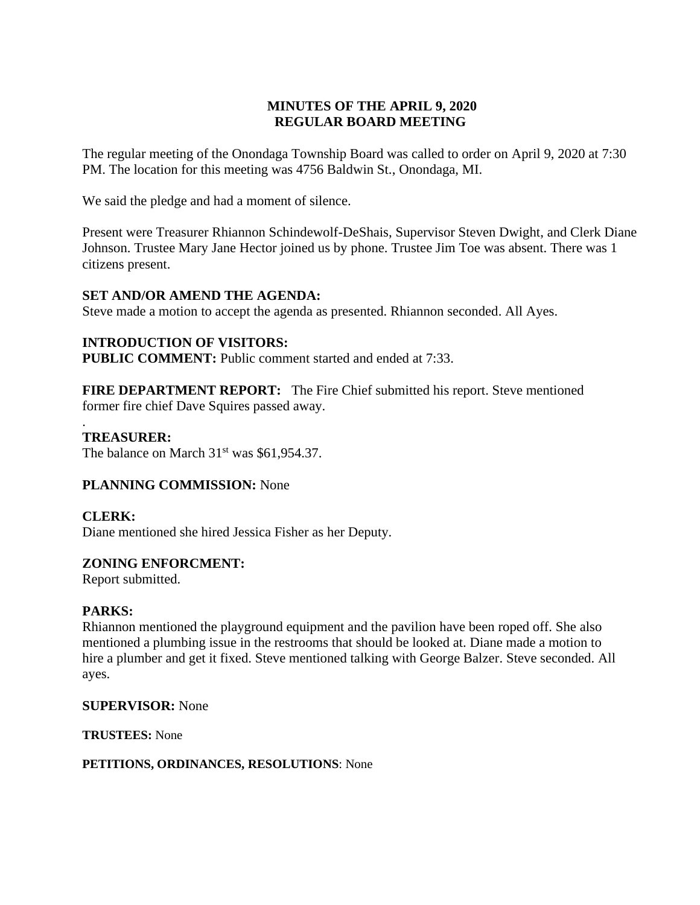# **MINUTES OF THE APRIL 9, 2020 REGULAR BOARD MEETING**

The regular meeting of the Onondaga Township Board was called to order on April 9, 2020 at 7:30 PM. The location for this meeting was 4756 Baldwin St., Onondaga, MI.

We said the pledge and had a moment of silence.

Present were Treasurer Rhiannon Schindewolf-DeShais, Supervisor Steven Dwight, and Clerk Diane Johnson. Trustee Mary Jane Hector joined us by phone. Trustee Jim Toe was absent. There was 1 citizens present.

## **SET AND/OR AMEND THE AGENDA:**

Steve made a motion to accept the agenda as presented. Rhiannon seconded. All Ayes.

## **INTRODUCTION OF VISITORS:**

**PUBLIC COMMENT:** Public comment started and ended at 7:33.

**FIRE DEPARTMENT REPORT:** The Fire Chief submitted his report. Steve mentioned former fire chief Dave Squires passed away.

## **TREASURER:**

The balance on March  $31<sup>st</sup>$  was \$61,954.37.

## **PLANNING COMMISSION:** None

**CLERK:** 

.

Diane mentioned she hired Jessica Fisher as her Deputy.

# **ZONING ENFORCMENT:**

Report submitted.

## **PARKS:**

Rhiannon mentioned the playground equipment and the pavilion have been roped off. She also mentioned a plumbing issue in the restrooms that should be looked at. Diane made a motion to hire a plumber and get it fixed. Steve mentioned talking with George Balzer. Steve seconded. All ayes.

## **SUPERVISOR:** None

**TRUSTEES:** None

**PETITIONS, ORDINANCES, RESOLUTIONS**: None